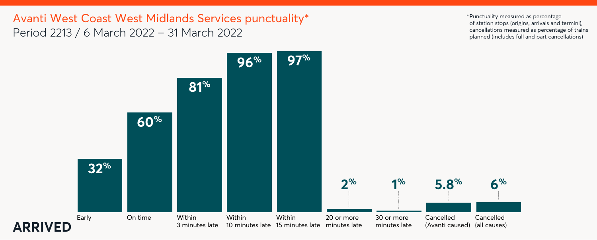

Avanti West Coast West Midlands Services punctuality\* Period 2213 / 6 March 2022 – 31 March 2022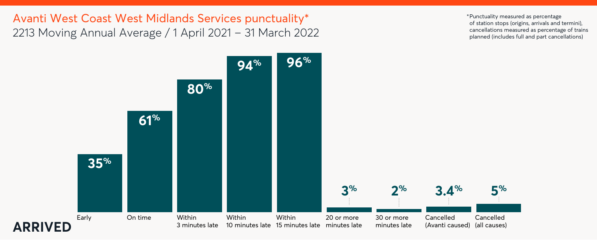



Avanti West Coast West Midlands Services punctuality\* 2213 Moving Annual Average / 1 April 2021 – 31 March 2022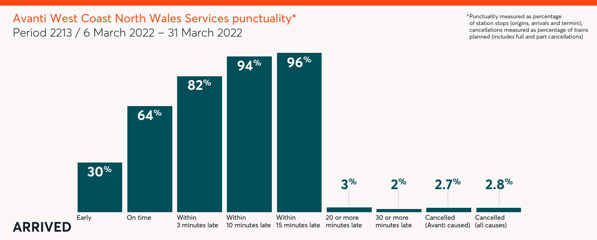

Avanti West Coast North Wales Services punctuality\* Period 2213 / 6 March 2022 – 31 March 2022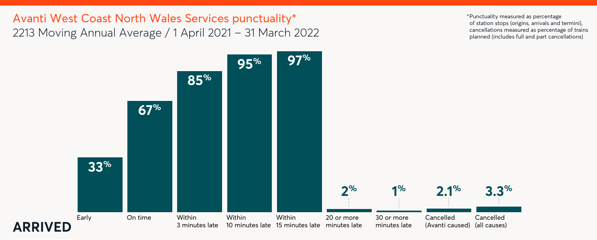

Avanti West Coast North Wales Services punctuality\* 2213 Moving Annual Average / 1 April 2021 – 31 March 2022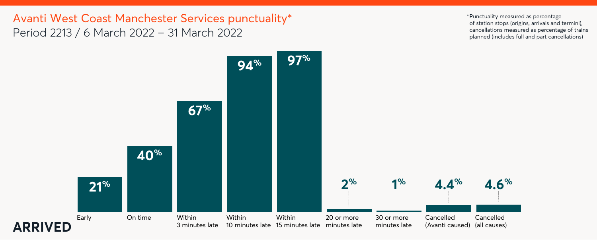



Avanti West Coast Manchester Services punctuality\* Period 2213 / 6 March 2022 – 31 March 2022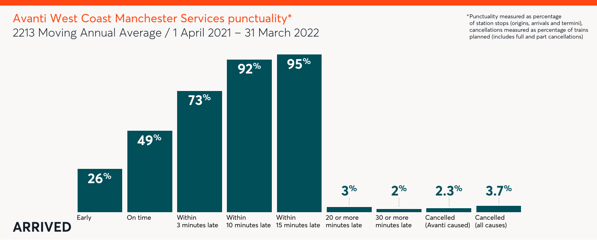

# Avanti West Coast Manchester Services punctuality\* 2213 Moving Annual Average / 1 April 2021 – 31 March 2022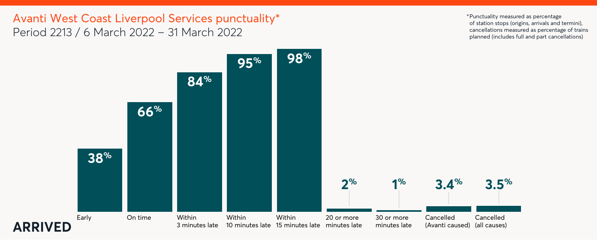

Avanti West Coast Liverpool Services punctuality\* Period 2213 / 6 March 2022 – 31 March 2022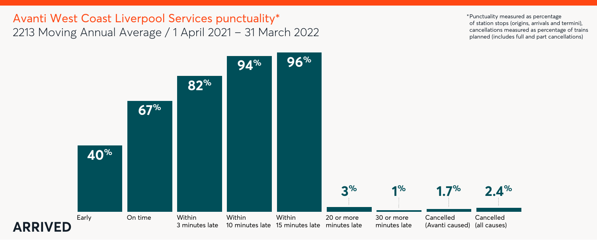

# Avanti West Coast Liverpool Services punctuality\* 2213 Moving Annual Average / 1 April 2021 – 31 March 2022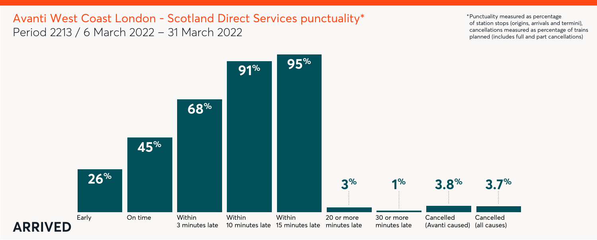



Avanti West Coast London - Scotland Direct Services punctuality\* Period 2213 / 6 March 2022 – 31 March 2022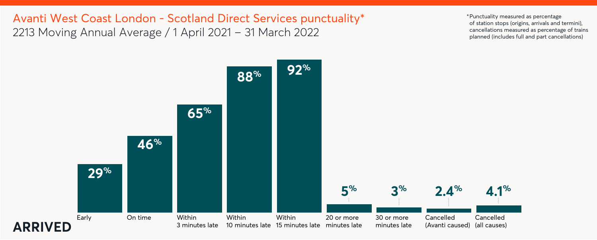



# Avanti West Coast London - Scotland Direct Services punctuality\* 2213 Moving Annual Average / 1 April 2021 – 31 March 2022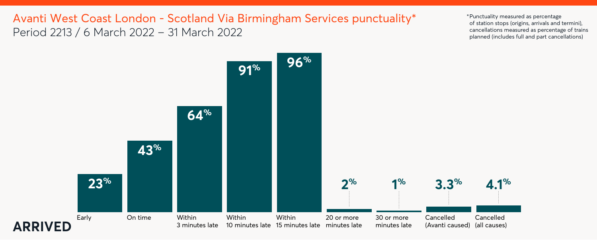



# Avanti West Coast London - Scotland Via Birmingham Services punctuality\* Period 2213 / 6 March 2022 – 31 March 2022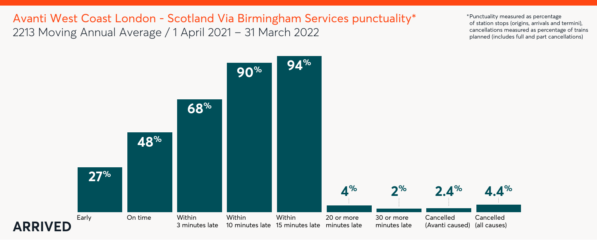



Avanti West Coast London - Scotland Via Birmingham Services punctuality\* 2213 Moving Annual Average / 1 April 2021 – 31 March 2022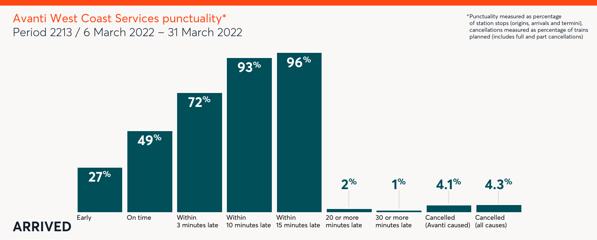



# Avanti West Coast Services punctuality\* Period 2213 / 6 March 2022 – 31 March 2022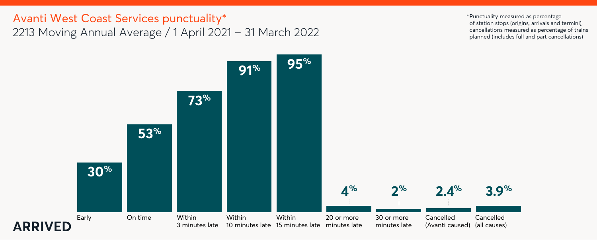



# Avanti West Coast Services punctuality\* 2213 Moving Annual Average / 1 April 2021 – 31 March 2022